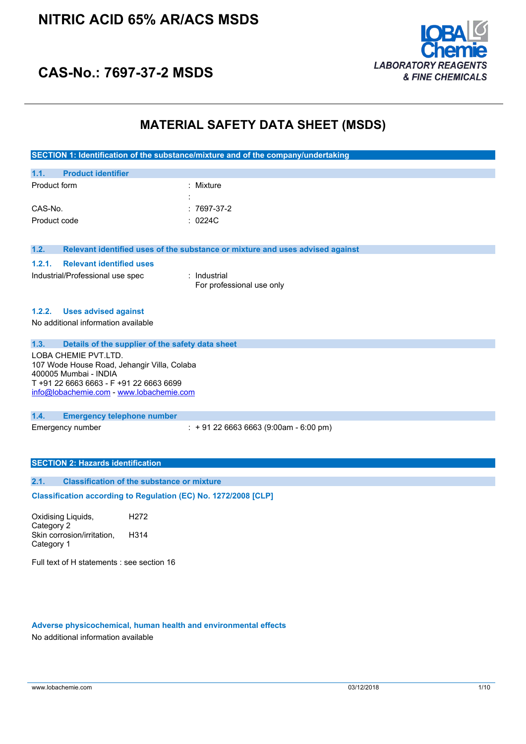

# **CAS-No.: 7697-37-2 MSDS**

### **MATERIAL SAFETY DATA SHEET (MSDS)**

| SECTION 1: Identification of the substance/mixture and of the company/undertaking |  |
|-----------------------------------------------------------------------------------|--|
|                                                                                   |  |

| 1.1.         | <b>Product identifier</b> |                     |               |
|--------------|---------------------------|---------------------|---------------|
| Product form |                           |                     | : Mixture     |
|              |                           | ٠<br>$\blacksquare$ |               |
| CAS-No.      |                           |                     | $: 7697-37-2$ |
| Product code |                           |                     | : $0224C$     |

**1.2. Relevant identified uses of the substance or mixture and uses advised against**

#### **1.2.1. Relevant identified uses**

Industrial/Professional use spec : Industrial

For professional use only

#### **1.2.2. Uses advised against**

No additional information available

#### **1.3. Details of the supplier of the safety data sheet**

LOBA CHEMIE PVT.LTD. 107 Wode House Road, Jehangir Villa, Colaba 400005 Mumbai - INDIA T +91 22 6663 6663 - F +91 22 6663 6699 [info@lobachemie.com](mailto:info@lobachemie.com) - <www.lobachemie.com>

#### **1.4. Emergency telephone number**

Emergency number : + 91 22 6663 6663 (9:00am - 6:00 pm)

#### **SECTION 2: Hazards identification**

#### **2.1. Classification of the substance or mixture**

**Classification according to Regulation (EC) No. 1272/2008 [CLP]** 

Oxidising Liquids, Category 2 H272 Skin corrosion/irritation, Category 1 H314

Full text of H statements : see section 16

#### **Adverse physicochemical, human health and environmental effects**

No additional information available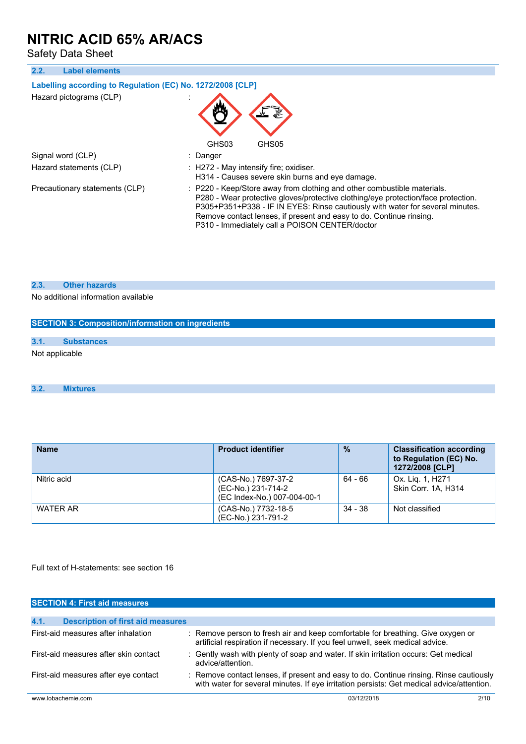Safety Data Sheet

| 2.2.<br><b>Label elements</b>                              |                                                                                                                                                                                                                                                                                                                                                                        |
|------------------------------------------------------------|------------------------------------------------------------------------------------------------------------------------------------------------------------------------------------------------------------------------------------------------------------------------------------------------------------------------------------------------------------------------|
| Labelling according to Regulation (EC) No. 1272/2008 [CLP] |                                                                                                                                                                                                                                                                                                                                                                        |
| Hazard pictograms (CLP)                                    |                                                                                                                                                                                                                                                                                                                                                                        |
|                                                            | GHS03<br>GHS05                                                                                                                                                                                                                                                                                                                                                         |
| Signal word (CLP)                                          | : Danger                                                                                                                                                                                                                                                                                                                                                               |
| Hazard statements (CLP)                                    | $\therefore$ H272 - May intensify fire; oxidiser.<br>H314 - Causes severe skin burns and eye damage.                                                                                                                                                                                                                                                                   |
| Precautionary statements (CLP)                             | : P220 - Keep/Store away from clothing and other combustible materials.<br>P280 - Wear protective gloves/protective clothing/eye protection/face protection.<br>P305+P351+P338 - IF IN EYES: Rinse cautiously with water for several minutes.<br>Remove contact lenses, if present and easy to do. Continue rinsing.<br>P310 - Immediately call a POISON CENTER/doctor |

#### **2.3. Other hazards**

No additional information available

|      | <b>SECTION 3: Composition/information on ingredients</b> |
|------|----------------------------------------------------------|
| 3.1. | <b>Substances</b>                                        |
|      | Not applicable                                           |

#### **3.2. Mixtures**

| <b>Name</b>     | <b>Product identifier</b>                                                | $\frac{0}{0}$ | <b>Classification according</b><br>to Regulation (EC) No.<br>1272/2008 [CLP] |
|-----------------|--------------------------------------------------------------------------|---------------|------------------------------------------------------------------------------|
| Nitric acid     | (CAS-No.) 7697-37-2<br>(EC-No.) 231-714-2<br>(EC Index-No.) 007-004-00-1 | $64 - 66$     | Ox. Lig. 1, H271<br>Skin Corr. 1A. H314                                      |
| <b>WATER AR</b> | (CAS-No.) 7732-18-5<br>(EC-No.) 231-791-2                                | $34 - 38$     | Not classified                                                               |

Full text of H-statements: see section 16

| <b>SECTION 4: First aid measures</b>             |                                                                                                                                                                                     |      |
|--------------------------------------------------|-------------------------------------------------------------------------------------------------------------------------------------------------------------------------------------|------|
|                                                  |                                                                                                                                                                                     |      |
| 4.1.<br><b>Description of first aid measures</b> |                                                                                                                                                                                     |      |
| First-aid measures after inhalation              | : Remove person to fresh air and keep comfortable for breathing. Give oxygen or<br>artificial respiration if necessary. If you feel unwell, seek medical advice.                    |      |
| First-aid measures after skin contact            | : Gently wash with plenty of soap and water. If skin irritation occurs: Get medical<br>advice/attention.                                                                            |      |
| First-aid measures after eye contact             | : Remove contact lenses, if present and easy to do. Continue rinsing. Rinse cautiously<br>with water for several minutes. If eye irritation persists: Get medical advice/attention. |      |
| www.lobachemie.com                               | 03/12/2018                                                                                                                                                                          | 2/10 |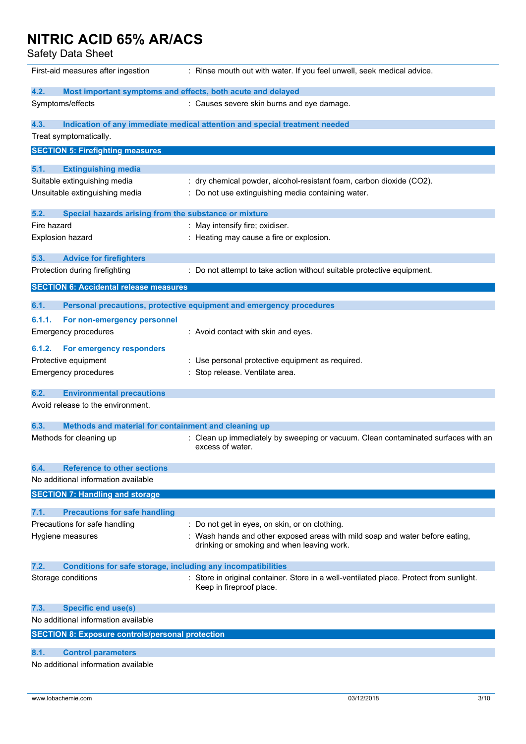Safety Data Sheet

| First-aid measures after ingestion                                            | : Rinse mouth out with water. If you feel unwell, seek medical advice.                                              |
|-------------------------------------------------------------------------------|---------------------------------------------------------------------------------------------------------------------|
| 4.2.                                                                          | Most important symptoms and effects, both acute and delayed                                                         |
| Symptoms/effects                                                              | : Causes severe skin burns and eye damage.                                                                          |
| 4.3.<br>Treat symptomatically.                                                | Indication of any immediate medical attention and special treatment needed                                          |
| <b>SECTION 5: Firefighting measures</b>                                       |                                                                                                                     |
| <b>Extinguishing media</b><br>5.1.                                            |                                                                                                                     |
| Suitable extinguishing media                                                  | : dry chemical powder, alcohol-resistant foam, carbon dioxide (CO2).                                                |
| Unsuitable extinguishing media                                                | : Do not use extinguishing media containing water.                                                                  |
| 5.2.<br>Special hazards arising from the substance or mixture                 |                                                                                                                     |
| Fire hazard                                                                   | : May intensify fire; oxidiser.                                                                                     |
| <b>Explosion hazard</b>                                                       | : Heating may cause a fire or explosion.                                                                            |
| 5.3.<br><b>Advice for firefighters</b>                                        |                                                                                                                     |
| Protection during firefighting                                                | : Do not attempt to take action without suitable protective equipment.                                              |
| <b>SECTION 6: Accidental release measures</b>                                 |                                                                                                                     |
| 6.1.                                                                          | Personal precautions, protective equipment and emergency procedures                                                 |
| 6.1.1.<br>For non-emergency personnel                                         |                                                                                                                     |
| <b>Emergency procedures</b>                                                   | : Avoid contact with skin and eyes.                                                                                 |
| For emergency responders<br>6.1.2.                                            |                                                                                                                     |
| Protective equipment                                                          | : Use personal protective equipment as required.                                                                    |
| <b>Emergency procedures</b>                                                   | : Stop release. Ventilate area.                                                                                     |
| 6.2.<br><b>Environmental precautions</b>                                      |                                                                                                                     |
| Avoid release to the environment.                                             |                                                                                                                     |
|                                                                               |                                                                                                                     |
| Methods and material for containment and cleaning up<br>6.3.                  |                                                                                                                     |
| Methods for cleaning up                                                       | : Clean up immediately by sweeping or vacuum. Clean contaminated surfaces with an<br>excess of water.               |
| <b>Reference to other sections</b><br>6.4.                                    |                                                                                                                     |
| No additional information available                                           |                                                                                                                     |
| <b>SECTION 7: Handling and storage</b>                                        |                                                                                                                     |
|                                                                               |                                                                                                                     |
| 7.1.<br><b>Precautions for safe handling</b><br>Precautions for safe handling | : Do not get in eyes, on skin, or on clothing.                                                                      |
|                                                                               | : Wash hands and other exposed areas with mild soap and water before eating,                                        |
| Hygiene measures                                                              | drinking or smoking and when leaving work.                                                                          |
| Conditions for safe storage, including any incompatibilities<br>7.2.          |                                                                                                                     |
| Storage conditions                                                            | : Store in original container. Store in a well-ventilated place. Protect from sunlight.<br>Keep in fireproof place. |
| <b>Specific end use(s)</b><br>7.3.                                            |                                                                                                                     |
| No additional information available                                           |                                                                                                                     |
| <b>SECTION 8: Exposure controls/personal protection</b>                       |                                                                                                                     |
| 8.1.                                                                          |                                                                                                                     |
| <b>Control parameters</b><br>No additional information available              |                                                                                                                     |
|                                                                               |                                                                                                                     |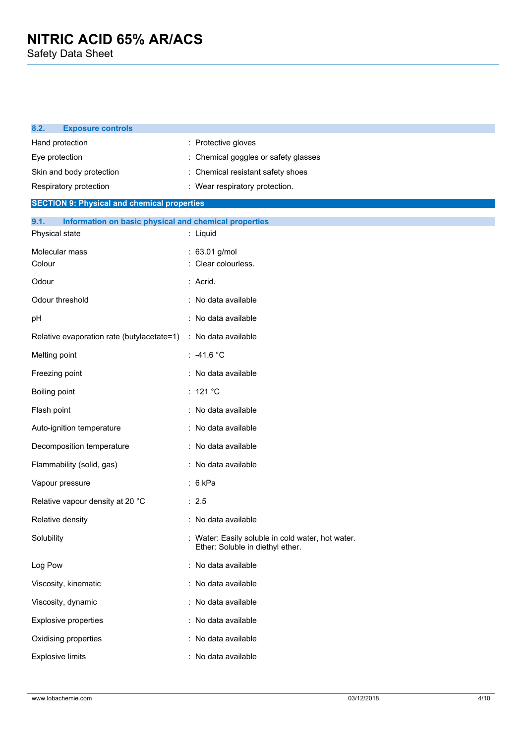| 8.2.                     | <b>Exposure controls</b>                              |                                                                                       |
|--------------------------|-------------------------------------------------------|---------------------------------------------------------------------------------------|
| Hand protection          |                                                       | : Protective gloves                                                                   |
| Eye protection           |                                                       | : Chemical goggles or safety glasses                                                  |
|                          | Skin and body protection                              | Chemical resistant safety shoes                                                       |
|                          | Respiratory protection                                | : Wear respiratory protection.                                                        |
|                          | <b>SECTION 9: Physical and chemical properties</b>    |                                                                                       |
| 9.1.<br>Physical state   | Information on basic physical and chemical properties | : Liquid                                                                              |
| Molecular mass<br>Colour |                                                       | : 63.01 g/mol<br>Clear colourless.                                                    |
| Odour                    |                                                       | : Acrid.                                                                              |
| Odour threshold          |                                                       | : No data available                                                                   |
| рH                       |                                                       | : No data available                                                                   |
|                          | Relative evaporation rate (butylacetate=1)            | : No data available                                                                   |
| Melting point            |                                                       | $: -41.6 °C$                                                                          |
| Freezing point           |                                                       | : No data available                                                                   |
| Boiling point            |                                                       | : 121 $^{\circ}$ C                                                                    |
| Flash point              |                                                       | : No data available                                                                   |
|                          | Auto-ignition temperature                             | : No data available                                                                   |
|                          | Decomposition temperature                             | : No data available                                                                   |
|                          | Flammability (solid, gas)                             | : No data available                                                                   |
|                          | Vapour pressure                                       | : 6kPa                                                                                |
|                          | Relative vapour density at 20 °C                      | : 2.5                                                                                 |
|                          | Relative density                                      | : No data available                                                                   |
| Solubility               |                                                       | : Water: Easily soluble in cold water, hot water.<br>Ether: Soluble in diethyl ether. |
| Log Pow                  |                                                       | : No data available                                                                   |
|                          | Viscosity, kinematic                                  | : No data available                                                                   |
|                          | Viscosity, dynamic                                    | : No data available                                                                   |
|                          | <b>Explosive properties</b>                           | : No data available                                                                   |
|                          | Oxidising properties                                  | : No data available                                                                   |
| <b>Explosive limits</b>  |                                                       | No data available                                                                     |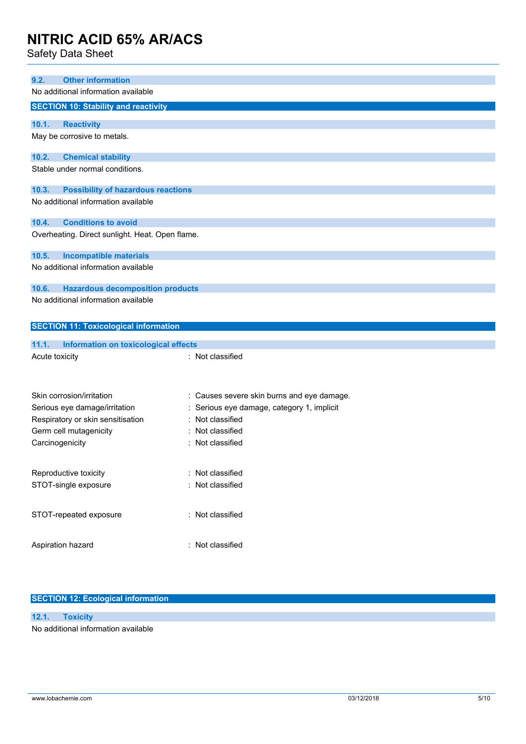Safety Data Sheet

| <b>Other information</b><br>9.2.<br>No additional information available       |                                            |
|-------------------------------------------------------------------------------|--------------------------------------------|
| <b>SECTION 10: Stability and reactivity</b>                                   |                                            |
|                                                                               |                                            |
| 10.1.<br><b>Reactivity</b>                                                    |                                            |
| May be corrosive to metals.                                                   |                                            |
| 10.2.<br><b>Chemical stability</b>                                            |                                            |
| Stable under normal conditions.                                               |                                            |
|                                                                               |                                            |
| 10.3.<br><b>Possibility of hazardous reactions</b>                            |                                            |
| No additional information available                                           |                                            |
| 10.4.<br><b>Conditions to avoid</b>                                           |                                            |
| Overheating. Direct sunlight. Heat. Open flame.                               |                                            |
|                                                                               |                                            |
| 10.5.<br><b>Incompatible materials</b><br>No additional information available |                                            |
|                                                                               |                                            |
| 10.6.<br><b>Hazardous decomposition products</b>                              |                                            |
| No additional information available                                           |                                            |
|                                                                               |                                            |
| <b>SECTION 11: Toxicological information</b>                                  |                                            |
| 11.1.<br><b>Information on toxicological effects</b>                          |                                            |
| Acute toxicity                                                                | : Not classified                           |
|                                                                               |                                            |
|                                                                               |                                            |
| Skin corrosion/irritation                                                     | : Causes severe skin burns and eye damage. |
| Serious eye damage/irritation                                                 | Serious eye damage, category 1, implicit   |
| Respiratory or skin sensitisation                                             | Not classified                             |
| Germ cell mutagenicity                                                        | Not classified                             |
| Carcinogenicity                                                               | : Not classified                           |
|                                                                               |                                            |
| Reproductive toxicity                                                         | : Not classified                           |
| STOT-single exposure                                                          | : Not classified                           |
|                                                                               |                                            |
| STOT-repeated exposure                                                        | : Not classified                           |
|                                                                               |                                            |
| Aspiration hazard                                                             | : Not classified                           |
|                                                                               |                                            |

#### **SECTION 12: Ecological information**

### **12.1. Toxicity**

No additional information available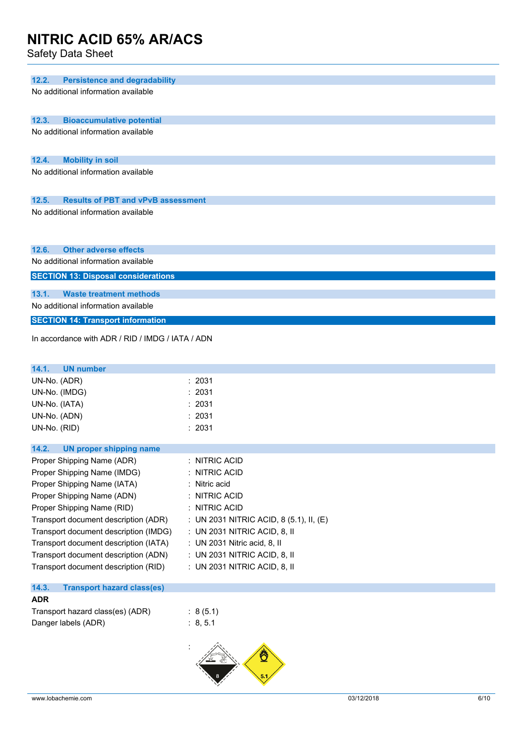Safety Data Sheet

| JAICLY DAIA JIICCL                                      |                                         |
|---------------------------------------------------------|-----------------------------------------|
|                                                         |                                         |
| 12.2.<br><b>Persistence and degradability</b>           |                                         |
| No additional information available                     |                                         |
| 12.3.<br><b>Bioaccumulative potential</b>               |                                         |
| No additional information available                     |                                         |
|                                                         |                                         |
| 12.4.<br><b>Mobility in soil</b>                        |                                         |
| No additional information available                     |                                         |
| <b>Results of PBT and vPvB assessment</b><br>12.5.      |                                         |
| No additional information available                     |                                         |
|                                                         |                                         |
| 12.6.<br><b>Other adverse effects</b>                   |                                         |
| No additional information available                     |                                         |
| <b>SECTION 13: Disposal considerations</b>              |                                         |
| <b>Waste treatment methods</b><br>13.1.                 |                                         |
| No additional information available                     |                                         |
| <b>SECTION 14: Transport information</b>                |                                         |
| In accordance with ADR / RID / IMDG / IATA / ADN        |                                         |
|                                                         |                                         |
| 14.1.<br><b>UN number</b>                               |                                         |
| UN-No. (ADR)                                            | : 2031                                  |
| UN-No. (IMDG)                                           | 2031                                    |
| UN-No. (IATA)                                           | : 2031                                  |
| UN-No. (ADN)                                            | 2031                                    |
| UN-No. (RID)                                            | : 2031                                  |
| 14.2.<br><b>UN proper shipping name</b>                 |                                         |
| Proper Shipping Name (ADR)                              | : NITRIC ACID                           |
| Proper Shipping Name (IMDG)                             | <b>NITRIC ACID</b>                      |
| Proper Shipping Name (IATA)                             | : Nitric acid                           |
| Proper Shipping Name (ADN)                              | <b>NITRIC ACID</b>                      |
| Proper Shipping Name (RID)                              | : NITRIC ACID                           |
| Transport document description (ADR)                    | : UN 2031 NITRIC ACID, 8 (5.1), II, (E) |
| Transport document description (IMDG)                   | : UN 2031 NITRIC ACID, 8, II            |
| Transport document description (IATA)                   | : UN 2031 Nitric acid, 8, II            |
| Transport document description (ADN)                    | : UN 2031 NITRIC ACID, 8, II            |
| Transport document description (RID)                    | : UN 2031 NITRIC ACID, 8, II            |
| 14.3.<br><b>Transport hazard class(es)</b>              |                                         |
| <b>ADR</b>                                              |                                         |
| Transport hazard class(es) (ADR)<br>Danger labels (ADR) | : 8(5.1)<br>: 8, 5.1                    |
|                                                         |                                         |

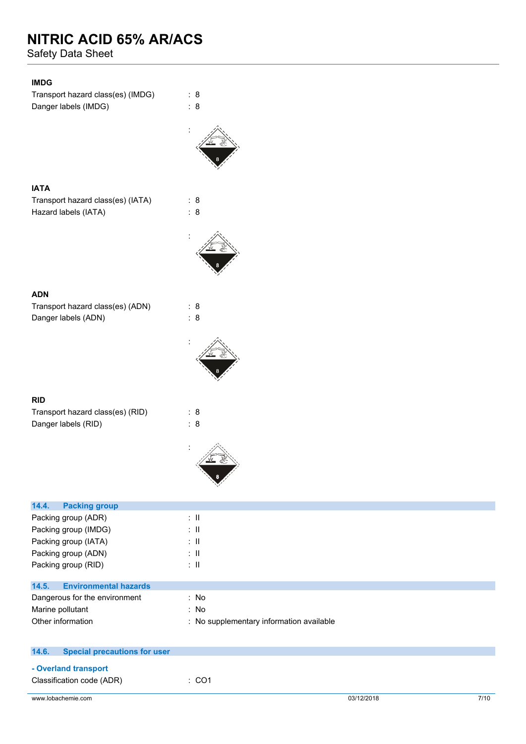Safety Data Sheet

### **IMDG**

Transport hazard class(es) (IMDG) : 8 Danger labels (IMDG)  $\qquad \qquad$  : 8



#### **IATA**

Transport hazard class(es) (IATA) : 8 Hazard labels (IATA) : 8



#### **ADN**

Transport hazard class(es) (ADN) : 8 Danger labels (ADN) : 8

### **RID**

| Transport hazard class(es) (RID) | : 8 |
|----------------------------------|-----|
| Danger labels (RID)              | : 8 |

:



| 14.4.<br><b>Packing group</b>                |                                          |
|----------------------------------------------|------------------------------------------|
| Packing group (ADR)                          | ÷Ш                                       |
| Packing group (IMDG)                         | ÷Ш                                       |
| Packing group (IATA)                         | ÷Ш                                       |
| Packing group (ADN)                          | ÷Ш                                       |
| Packing group (RID)                          | ÷Ш                                       |
|                                              |                                          |
| <b>Environmental hazards</b><br>14.5.        |                                          |
| Dangerous for the environment                | : No                                     |
| Marine pollutant                             | : No                                     |
| Other information                            | : No supplementary information available |
|                                              |                                          |
|                                              |                                          |
| 14.6.<br><b>Special precautions for user</b> |                                          |

#### **- Overland transport**

| Classification code (ADR) | :CO1 |
|---------------------------|------|
|---------------------------|------|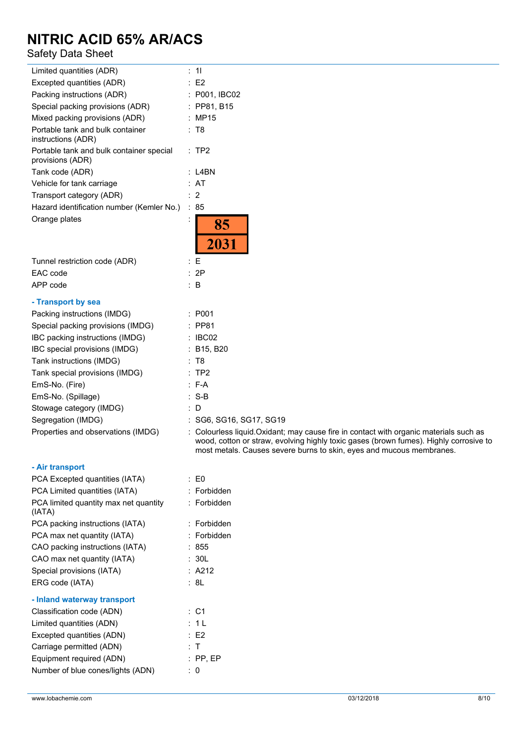### Safety Data Sheet

| Limited quantities (ADR)                                     | : 11                                                                                                                                                                                                                                                    |
|--------------------------------------------------------------|---------------------------------------------------------------------------------------------------------------------------------------------------------------------------------------------------------------------------------------------------------|
| Excepted quantities (ADR)                                    | $\therefore$ E2                                                                                                                                                                                                                                         |
| Packing instructions (ADR)                                   | : P001, IBC02                                                                                                                                                                                                                                           |
| Special packing provisions (ADR)                             | $:$ PP81, B15                                                                                                                                                                                                                                           |
| Mixed packing provisions (ADR)                               | : MP15                                                                                                                                                                                                                                                  |
| Portable tank and bulk container<br>instructions (ADR)       | : T8                                                                                                                                                                                                                                                    |
| Portable tank and bulk container special<br>provisions (ADR) | :TP2                                                                                                                                                                                                                                                    |
| Tank code (ADR)                                              | $:$ L4BN                                                                                                                                                                                                                                                |
| Vehicle for tank carriage                                    | : AT                                                                                                                                                                                                                                                    |
| Transport category (ADR)                                     | : 2                                                                                                                                                                                                                                                     |
| Hazard identification number (Kemler No.)                    | $\therefore 85$                                                                                                                                                                                                                                         |
| Orange plates                                                | 85<br>2031                                                                                                                                                                                                                                              |
| Tunnel restriction code (ADR)                                | $\colon E$                                                                                                                                                                                                                                              |
| EAC code                                                     | : 2P                                                                                                                                                                                                                                                    |
| APP code                                                     | $\therefore$ B                                                                                                                                                                                                                                          |
| - Transport by sea                                           |                                                                                                                                                                                                                                                         |
| Packing instructions (IMDG)                                  | : P <sub>001</sub>                                                                                                                                                                                                                                      |
| Special packing provisions (IMDG)                            | : PP81                                                                                                                                                                                                                                                  |
| IBC packing instructions (IMDG)                              | : IBCO2                                                                                                                                                                                                                                                 |
| IBC special provisions (IMDG)                                | : B15, B20                                                                                                                                                                                                                                              |
| Tank instructions (IMDG)                                     | : T8                                                                                                                                                                                                                                                    |
| Tank special provisions (IMDG)                               | :TP2                                                                                                                                                                                                                                                    |
| EmS-No. (Fire)                                               | $: F-A$                                                                                                                                                                                                                                                 |
| EmS-No. (Spillage)                                           | $: S-B$                                                                                                                                                                                                                                                 |
| Stowage category (IMDG)                                      | $\therefore$ D                                                                                                                                                                                                                                          |
| Segregation (IMDG)                                           | : SG6, SG16, SG17, SG19                                                                                                                                                                                                                                 |
| Properties and observations (IMDG)                           | : Colourless liquid. Oxidant; may cause fire in contact with organic materials such as<br>wood, cotton or straw, evolving highly toxic gases (brown fumes). Highly corrosive to<br>most metals. Causes severe burns to skin, eyes and mucous membranes. |
| - Air transport                                              |                                                                                                                                                                                                                                                         |
| $\overline{D}$                                               | $\Gamma$                                                                                                                                                                                                                                                |

| PCA Excepted quantities (IATA)                  | : E0            |
|-------------------------------------------------|-----------------|
| PCA Limited quantities (IATA)                   | : Forbidden     |
| PCA limited quantity max net quantity<br>(IATA) | : Forbidden     |
| PCA packing instructions (IATA)                 | : Forbidden     |
| PCA max net quantity (IATA)                     | : Forbidden     |
| CAO packing instructions (IATA)                 | : 855           |
| CAO max net quantity (IATA)                     | : 30L           |
| Special provisions (IATA)                       | : A212          |
| ERG code (IATA)                                 | : 8L            |
| - Inland waterway transport                     |                 |
| Classification code (ADN)                       | $\therefore$ C1 |
| Limited quantities (ADN)                        | : 1 L           |
| Excepted quantities (ADN)                       | E2              |
| Carriage permitted (ADN)                        | : T             |
| Equipment required (ADN)                        | $:$ PP, EP      |
| Number of blue cones/lights (ADN)               | : 0             |
|                                                 |                 |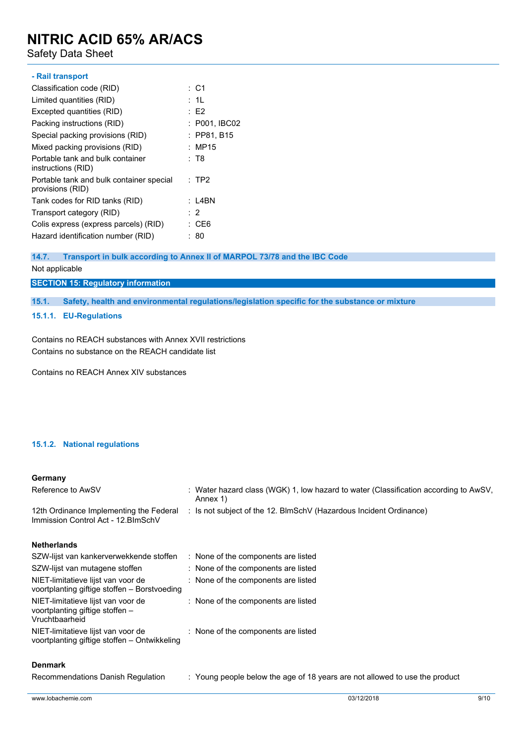Safety Data Sheet

| - Rail transport                                             |                 |
|--------------------------------------------------------------|-----------------|
| Classification code (RID)                                    | $\therefore$ C1 |
| Limited quantities (RID)                                     | : 1L            |
| Excepted quantities (RID)                                    | E2              |
| Packing instructions (RID)                                   | : P001, IBC02   |
| Special packing provisions (RID)                             | : PP81, B15     |
| Mixed packing provisions (RID)                               | : MP15          |
| Portable tank and bulk container<br>instructions (RID)       | : T8            |
| Portable tank and bulk container special<br>provisions (RID) | : TP2           |
| Tank codes for RID tanks (RID)                               | : L4BN          |
| Transport category (RID)                                     | $\cdot$ 2       |
| Colis express (express parcels) (RID)                        | : CE6           |
| Hazard identification number (RID)                           | : 80            |

#### **14.7. Transport in bulk according to Annex II of MARPOL 73/78 and the IBC Code**

#### Not applicable

#### **SECTION 15: Regulatory information**

**15.1. Safety, health and environmental regulations/legislation specific for the substance or mixture**

#### **15.1.1. EU-Regulations**

Contains no REACH substances with Annex XVII restrictions Contains no substance on the REACH candidate list

Contains no REACH Annex XIV substances

#### **15.1.2. National regulations**

#### **Germany**

| Reference to AwSV                                                                       | : Water hazard class (WGK) 1, low hazard to water (Classification according to AwSV,<br>Annex 1) |
|-----------------------------------------------------------------------------------------|--------------------------------------------------------------------------------------------------|
| 12th Ordinance Implementing the Federal<br>Immission Control Act - 12. BlmSchV          | : Is not subject of the 12. BlmSchV (Hazardous Incident Ordinance)                               |
| <b>Netherlands</b>                                                                      |                                                                                                  |
| SZW-lijst van kankerverwekkende stoffen                                                 | : None of the components are listed                                                              |
| SZW-lijst van mutagene stoffen                                                          | : None of the components are listed                                                              |
| NIET-limitatieve lijst van voor de<br>voortplanting giftige stoffen – Borstvoeding      | : None of the components are listed                                                              |
| NIET-limitatieve lijst van voor de<br>voortplanting giftige stoffen -<br>Vruchtbaarheid | : None of the components are listed                                                              |
| NIET-limitatieve lijst van voor de<br>voortplanting giftige stoffen - Ontwikkeling      | : None of the components are listed                                                              |
| <b>Denmark</b>                                                                          |                                                                                                  |

Recommendations Danish Regulation : Young people below the age of 18 years are not allowed to use the product